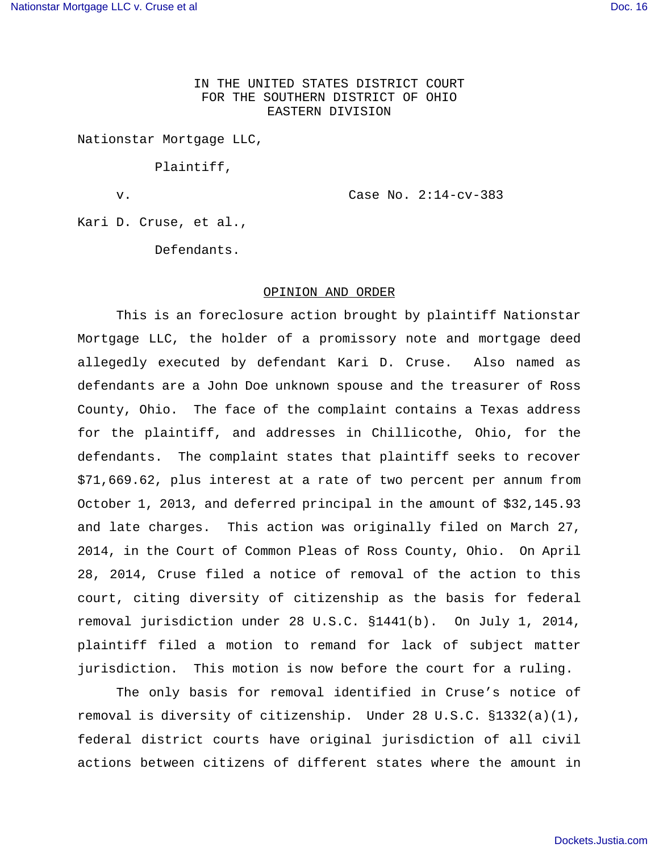IN THE UNITED STATES DISTRICT COURT FOR THE SOUTHERN DISTRICT OF OHIO EASTERN DIVISION

Nationstar Mortgage LLC,

Plaintiff,

v. Case No. 2:14-cv-383

Kari D. Cruse, et al.,

Defendants.

## OPINION AND ORDER

This is an foreclosure action brought by plaintiff Nationstar Mortgage LLC, the holder of a promissory note and mortgage deed allegedly executed by defendant Kari D. Cruse. Also named as defendants are a John Doe unknown spouse and the treasurer of Ross County, Ohio. The face of the complaint contains a Texas address for the plaintiff, and addresses in Chillicothe, Ohio, for the defendants. The complaint states that plaintiff seeks to recover \$71,669.62, plus interest at a rate of two percent per annum from October 1, 2013, and deferred principal in the amount of \$32,145.93 and late charges. This action was originally filed on March 27, 2014, in the Court of Common Pleas of Ross County, Ohio. On April 28, 2014, Cruse filed a notice of removal of the action to this court, citing diversity of citizenship as the basis for federal removal jurisdiction under 28 U.S.C. §1441(b). On July 1, 2014, plaintiff filed a motion to remand for lack of subject matter jurisdiction. This motion is now before the court for a ruling.

The only basis for removal identified in Cruse's notice of removal is diversity of citizenship. Under 28 U.S.C. §1332(a)(1), federal district courts have original jurisdiction of all civil actions between citizens of different states where the amount in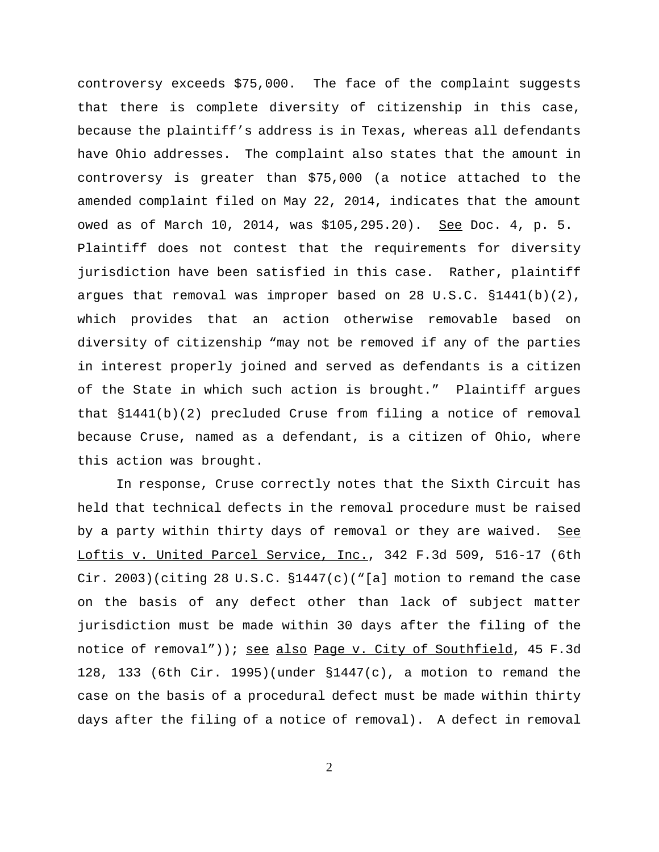controversy exceeds \$75,000. The face of the complaint suggests that there is complete diversity of citizenship in this case, because the plaintiff's address is in Texas, whereas all defendants have Ohio addresses. The complaint also states that the amount in controversy is greater than \$75,000 (a notice attached to the amended complaint filed on May 22, 2014, indicates that the amount owed as of March 10, 2014, was \$105,295.20). See Doc. 4, p. 5. Plaintiff does not contest that the requirements for diversity jurisdiction have been satisfied in this case. Rather, plaintiff argues that removal was improper based on 28 U.S.C. §1441(b)(2), which provides that an action otherwise removable based on diversity of citizenship "may not be removed if any of the parties in interest properly joined and served as defendants is a citizen of the State in which such action is brought." Plaintiff argues that §1441(b)(2) precluded Cruse from filing a notice of removal because Cruse, named as a defendant, is a citizen of Ohio, where this action was brought.

In response, Cruse correctly notes that the Sixth Circuit has held that technical defects in the removal procedure must be raised by a party within thirty days of removal or they are waived. See Loftis v. United Parcel Service, Inc., 342 F.3d 509, 516-17 (6th Cir. 2003)(citing 28 U.S.C.  $\S1447(c)$  ("[a] motion to remand the case on the basis of any defect other than lack of subject matter jurisdiction must be made within 30 days after the filing of the notice of removal")); see also Page v. City of Southfield, 45 F.3d 128, 133 (6th Cir. 1995)(under §1447(c), a motion to remand the case on the basis of a procedural defect must be made within thirty days after the filing of a notice of removal). A defect in removal

2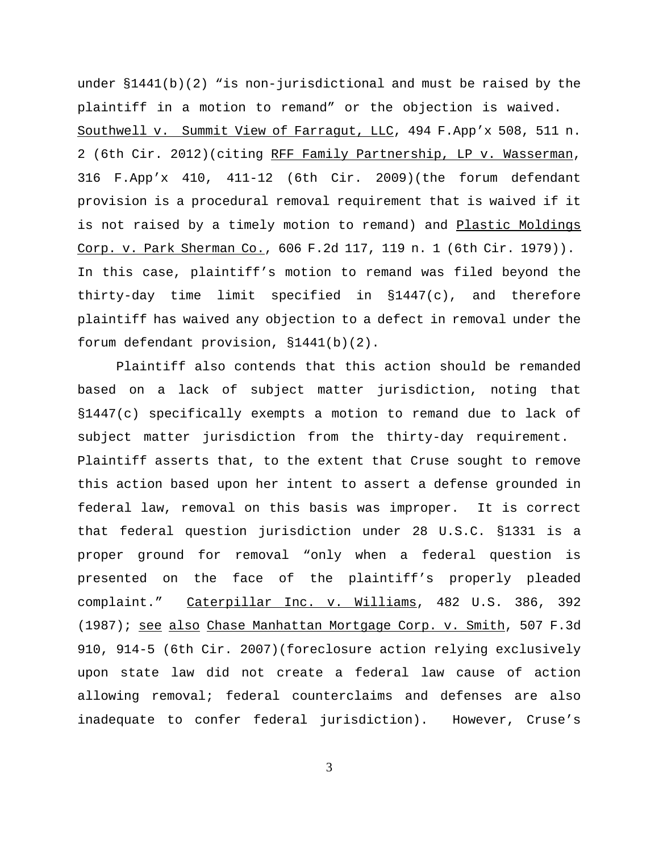under  $$1441(b)(2)$  "is non-jurisdictional and must be raised by the plaintiff in a motion to remand" or the objection is waived. Southwell v. Summit View of Farragut, LLC, 494 F.App'x 508, 511 n. 2 (6th Cir. 2012)(citing RFF Family Partnership, LP v. Wasserman, 316 F.App'x 410, 411-12 (6th Cir. 2009)(the forum defendant provision is a procedural removal requirement that is waived if it is not raised by a timely motion to remand) and Plastic Moldings Corp. v. Park Sherman Co., 606 F.2d 117, 119 n. 1 (6th Cir. 1979)). In this case, plaintiff's motion to remand was filed beyond the thirty-day time limit specified in §1447(c), and therefore plaintiff has waived any objection to a defect in removal under the forum defendant provision, §1441(b)(2).

Plaintiff also contends that this action should be remanded based on a lack of subject matter jurisdiction, noting that §1447(c) specifically exempts a motion to remand due to lack of subject matter jurisdiction from the thirty-day requirement. Plaintiff asserts that, to the extent that Cruse sought to remove this action based upon her intent to assert a defense grounded in federal law, removal on this basis was improper. It is correct that federal question jurisdiction under 28 U.S.C. §1331 is a proper ground for removal "only when a federal question is presented on the face of the plaintiff's properly pleaded complaint." Caterpillar Inc. v. Williams, 482 U.S. 386, 392 (1987); see also Chase Manhattan Mortgage Corp. v. Smith, 507 F.3d 910, 914-5 (6th Cir. 2007)(foreclosure action relying exclusively upon state law did not create a federal law cause of action allowing removal; federal counterclaims and defenses are also inadequate to confer federal jurisdiction). However, Cruse's

3